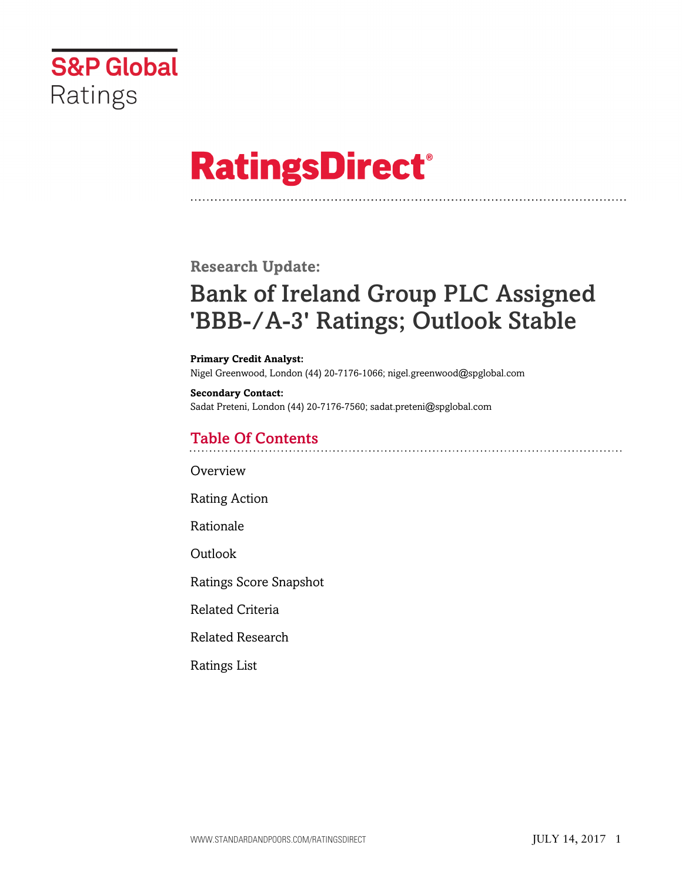

# **RatingsDirect®**

**Research Update:**

# Bank of Ireland Group PLC Assigned 'BBB-/A-3' Ratings; Outlook Stable

#### **Primary Credit Analyst:**

Nigel Greenwood, London (44) 20-7176-1066; nigel.greenwood@spglobal.com

**Secondary Contact:** Sadat Preteni, London (44) 20-7176-7560; sadat.preteni@spglobal.com

### Table Of Contents

**[Overview](#page-1-0)** 

[Rating Action](#page-1-1)

[Rationale](#page-1-2)

[Outlook](#page-2-0)

[Ratings Score Snapshot](#page-2-1)

[Related Criteria](#page-3-0)

[Related Research](#page-3-1)

[Ratings List](#page-3-2)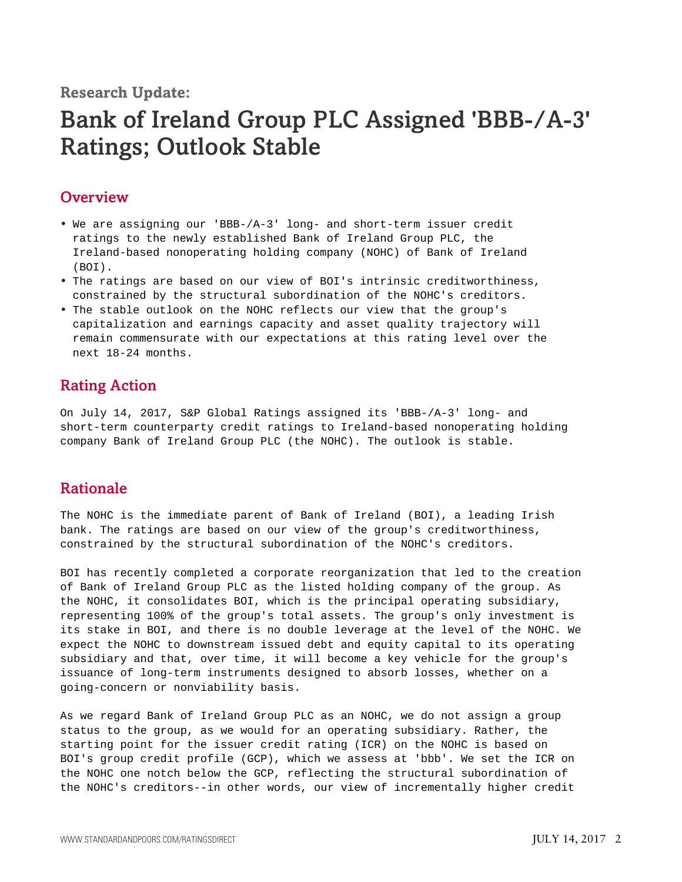**Research Update:**

## Bank of Ireland Group PLC Assigned 'BBB-/A-3' Ratings; Outlook Stable

#### <span id="page-1-0"></span>**Overview**

- We are assigning our 'BBB-/A-3' long- and short-term issuer credit ratings to the newly established Bank of Ireland Group PLC, the Ireland-based nonoperating holding company (NOHC) of Bank of Ireland (BOI).
- The ratings are based on our view of BOI's intrinsic creditworthiness, constrained by the structural subordination of the NOHC's creditors.
- The stable outlook on the NOHC reflects our view that the group's capitalization and earnings capacity and asset quality trajectory will remain commensurate with our expectations at this rating level over the next 18-24 months.

### <span id="page-1-1"></span>Rating Action

On July 14, 2017, S&P Global Ratings assigned its 'BBB-/A-3' long- and short-term counterparty credit ratings to Ireland-based nonoperating holding company Bank of Ireland Group PLC (the NOHC). The outlook is stable.

#### <span id="page-1-2"></span>Rationale

The NOHC is the immediate parent of Bank of Ireland (BOI), a leading Irish bank. The ratings are based on our view of the group's creditworthiness, constrained by the structural subordination of the NOHC's creditors.

BOI has recently completed a corporate reorganization that led to the creation of Bank of Ireland Group PLC as the listed holding company of the group. As the NOHC, it consolidates BOI, which is the principal operating subsidiary, representing 100% of the group's total assets. The group's only investment is its stake in BOI, and there is no double leverage at the level of the NOHC. We expect the NOHC to downstream issued debt and equity capital to its operating subsidiary and that, over time, it will become a key vehicle for the group's issuance of long-term instruments designed to absorb losses, whether on a going-concern or nonviability basis.

As we regard Bank of Ireland Group PLC as an NOHC, we do not assign a group status to the group, as we would for an operating subsidiary. Rather, the starting point for the issuer credit rating (ICR) on the NOHC is based on BOI's group credit profile (GCP), which we assess at 'bbb'. We set the ICR on the NOHC one notch below the GCP, reflecting the structural subordination of the NOHC's creditors--in other words, our view of incrementally higher credit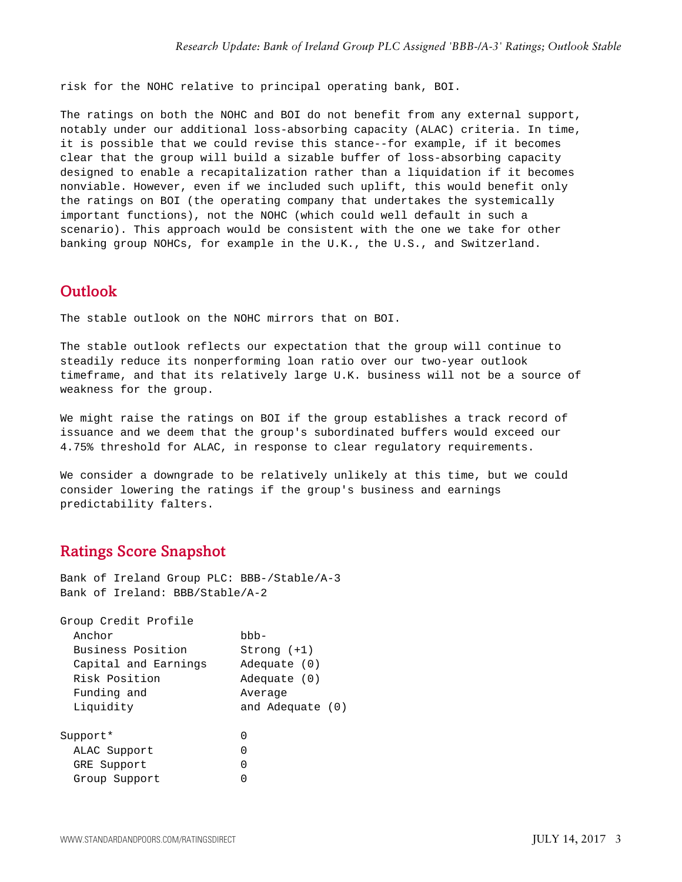risk for the NOHC relative to principal operating bank, BOI.

The ratings on both the NOHC and BOI do not benefit from any external support, notably under our additional loss-absorbing capacity (ALAC) criteria. In time, it is possible that we could revise this stance--for example, if it becomes clear that the group will build a sizable buffer of loss-absorbing capacity designed to enable a recapitalization rather than a liquidation if it becomes nonviable. However, even if we included such uplift, this would benefit only the ratings on BOI (the operating company that undertakes the systemically important functions), not the NOHC (which could well default in such a scenario). This approach would be consistent with the one we take for other banking group NOHCs, for example in the U.K., the U.S., and Switzerland.

#### <span id="page-2-0"></span>**Outlook**

The stable outlook on the NOHC mirrors that on BOI.

The stable outlook reflects our expectation that the group will continue to steadily reduce its nonperforming loan ratio over our two-year outlook timeframe, and that its relatively large U.K. business will not be a source of weakness for the group.

We might raise the ratings on BOI if the group establishes a track record of issuance and we deem that the group's subordinated buffers would exceed our 4.75% threshold for ALAC, in response to clear regulatory requirements.

We consider a downgrade to be relatively unlikely at this time, but we could consider lowering the ratings if the group's business and earnings predictability falters.

#### <span id="page-2-1"></span>Ratings Score Snapshot

Bank of Ireland Group PLC: BBB-/Stable/A-3 Bank of Ireland: BBB/Stable/A-2

Group Credit Profile Anchor bbb-Business Position Strong (+1) Capital and Earnings Adequate (0) Risk Position Adequate (0) Funding and **Average** Liquidity and Adequate (0) Support\* 0 ALAC Support 0 GRE Support 0 Group Support 0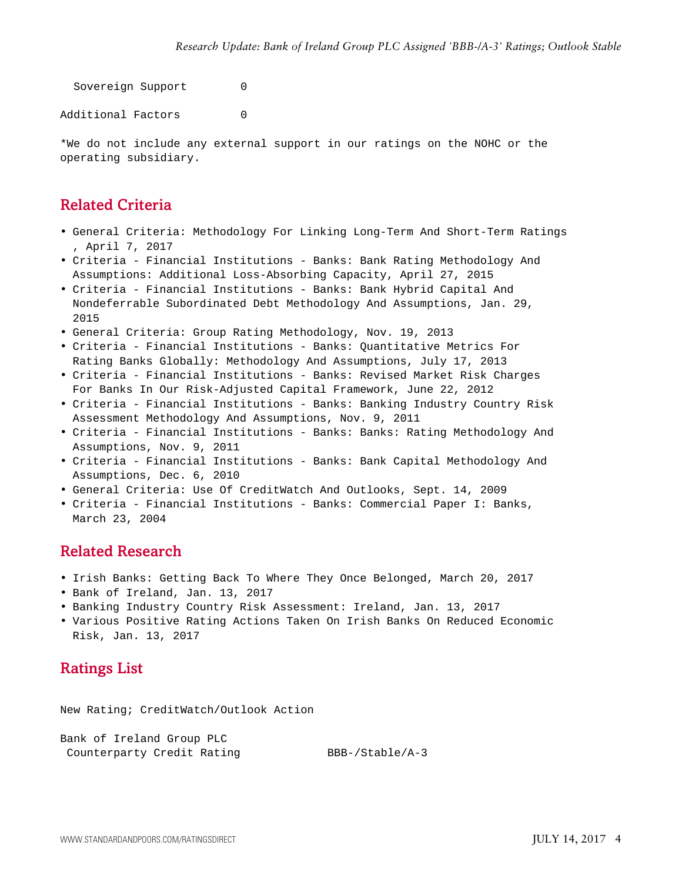Sovereign Support 0

Additional Factors 0

\*We do not include any external support in our ratings on the NOHC or the operating subsidiary.

#### <span id="page-3-0"></span>Related Criteria

- General Criteria: Methodology For Linking Long-Term And Short-Term Ratings , April 7, 2017
- Criteria Financial Institutions Banks: Bank Rating Methodology And Assumptions: Additional Loss-Absorbing Capacity, April 27, 2015
- Criteria Financial Institutions Banks: Bank Hybrid Capital And Nondeferrable Subordinated Debt Methodology And Assumptions, Jan. 29, 2015
- General Criteria: Group Rating Methodology, Nov. 19, 2013
- Criteria Financial Institutions Banks: Quantitative Metrics For Rating Banks Globally: Methodology And Assumptions, July 17, 2013
- Criteria Financial Institutions Banks: Revised Market Risk Charges For Banks In Our Risk-Adjusted Capital Framework, June 22, 2012
- Criteria Financial Institutions Banks: Banking Industry Country Risk Assessment Methodology And Assumptions, Nov. 9, 2011
- Criteria Financial Institutions Banks: Banks: Rating Methodology And Assumptions, Nov. 9, 2011
- Criteria Financial Institutions Banks: Bank Capital Methodology And Assumptions, Dec. 6, 2010
- General Criteria: Use Of CreditWatch And Outlooks, Sept. 14, 2009
- <span id="page-3-1"></span>• Criteria - Financial Institutions - Banks: Commercial Paper I: Banks, March 23, 2004

#### Related Research

- Irish Banks: Getting Back To Where They Once Belonged, March 20, 2017
- Bank of Ireland, Jan. 13, 2017
- Banking Industry Country Risk Assessment: Ireland, Jan. 13, 2017
- <span id="page-3-2"></span>• Various Positive Rating Actions Taken On Irish Banks On Reduced Economic Risk, Jan. 13, 2017

#### Ratings List

New Rating; CreditWatch/Outlook Action

Bank of Ireland Group PLC Counterparty Credit Rating BBB-/Stable/A-3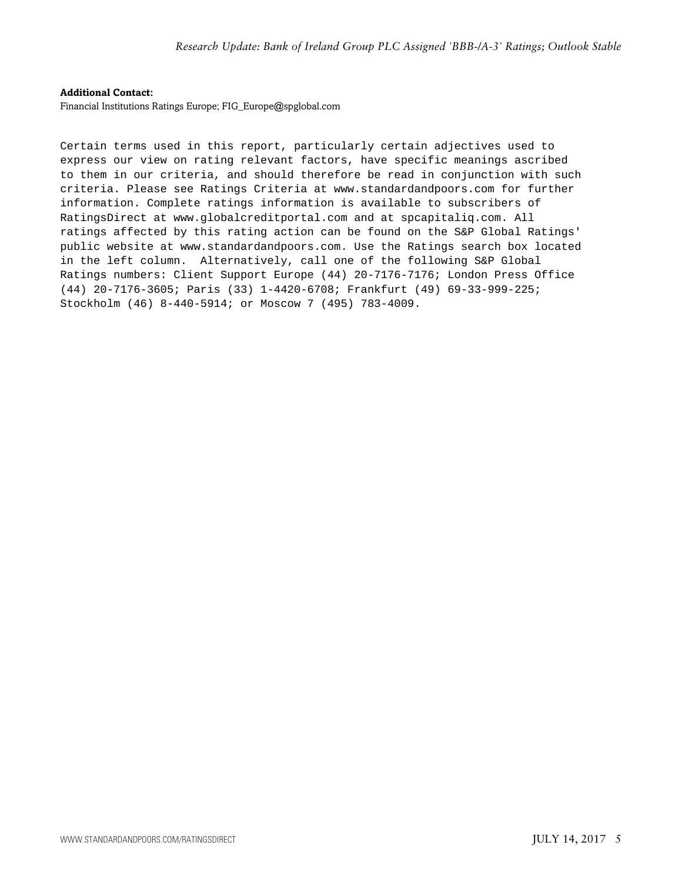#### **Additional Contact:**

Financial Institutions Ratings Europe; FIG\_Europe@spglobal.com

Certain terms used in this report, particularly certain adjectives used to express our view on rating relevant factors, have specific meanings ascribed to them in our criteria, and should therefore be read in conjunction with such criteria. Please see Ratings Criteria at www.standardandpoors.com for further information. Complete ratings information is available to subscribers of RatingsDirect at www.globalcreditportal.com and at spcapitaliq.com. All ratings affected by this rating action can be found on the S&P Global Ratings' public website at www.standardandpoors.com. Use the Ratings search box located in the left column. Alternatively, call one of the following S&P Global Ratings numbers: Client Support Europe (44) 20-7176-7176; London Press Office (44) 20-7176-3605; Paris (33) 1-4420-6708; Frankfurt (49) 69-33-999-225; Stockholm (46) 8-440-5914; or Moscow 7 (495) 783-4009.